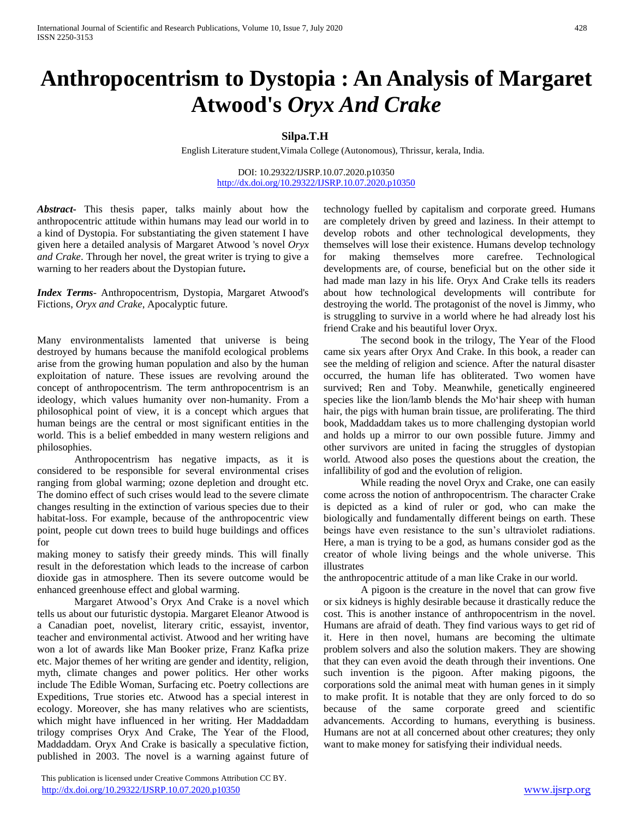# **Anthropocentrism to Dystopia : An Analysis of Margaret Atwood's** *Oryx And Crake*

## **Silpa.T.H**

English Literature student,Vimala College (Autonomous), Thrissur, kerala, India.

DOI: 10.29322/IJSRP.10.07.2020.p10350 <http://dx.doi.org/10.29322/IJSRP.10.07.2020.p10350>

*Abstract***-** This thesis paper, talks mainly about how the anthropocentric attitude within humans may lead our world in to a kind of Dystopia. For substantiating the given statement I have given here a detailed analysis of Margaret Atwood 's novel *Oryx and Crake*. Through her novel, the great writer is trying to give a warning to her readers about the Dystopian future**.**

*Index Terms*- Anthropocentrism, Dystopia, Margaret Atwood's Fictions, *Oryx and Crake*, Apocalyptic future.

Many environmentalists lamented that universe is being destroyed by humans because the manifold ecological problems arise from the growing human population and also by the human exploitation of nature. These issues are revolving around the concept of anthropocentrism. The term anthropocentrism is an ideology, which values humanity over non-humanity. From a philosophical point of view, it is a concept which argues that human beings are the central or most significant entities in the world. This is a belief embedded in many western religions and philosophies.

Anthropocentrism has negative impacts, as it is considered to be responsible for several environmental crises ranging from global warming; ozone depletion and drought etc. The domino effect of such crises would lead to the severe climate changes resulting in the extinction of various species due to their habitat-loss. For example, because of the anthropocentric view point, people cut down trees to build huge buildings and offices for

making money to satisfy their greedy minds. This will finally result in the deforestation which leads to the increase of carbon dioxide gas in atmosphere. Then its severe outcome would be enhanced greenhouse effect and global warming.

Margaret Atwood's Oryx And Crake is a novel which tells us about our futuristic dystopia. Margaret Eleanor Atwood is a Canadian poet, novelist, literary critic, essayist, inventor, teacher and environmental activist. Atwood and her writing have won a lot of awards like Man Booker prize, Franz Kafka prize etc. Major themes of her writing are gender and identity, religion, myth, climate changes and power politics. Her other works include The Edible Woman, Surfacing etc. Poetry collections are Expeditions, True stories etc. Atwood has a special interest in ecology. Moreover, she has many relatives who are scientists, which might have influenced in her writing. Her Maddaddam trilogy comprises Oryx And Crake, The Year of the Flood, Maddaddam. Oryx And Crake is basically a speculative fiction, published in 2003. The novel is a warning against future of

technology fuelled by capitalism and corporate greed. Humans are completely driven by greed and laziness. In their attempt to develop robots and other technological developments, they themselves will lose their existence. Humans develop technology for making themselves more carefree. Technological developments are, of course, beneficial but on the other side it had made man lazy in his life. Oryx And Crake tells its readers about how technological developments will contribute for destroying the world. The protagonist of the novel is Jimmy, who is struggling to survive in a world where he had already lost his friend Crake and his beautiful lover Oryx.

The second book in the trilogy, The Year of the Flood came six years after Oryx And Crake. In this book, a reader can see the melding of religion and science. After the natural disaster occurred, the human life has obliterated. Two women have survived; Ren and Toby. Meanwhile, genetically engineered species like the lion/lamb blends the Mo'hair sheep with human hair, the pigs with human brain tissue, are proliferating. The third book, Maddaddam takes us to more challenging dystopian world and holds up a mirror to our own possible future. Jimmy and other survivors are united in facing the struggles of dystopian world. Atwood also poses the questions about the creation, the infallibility of god and the evolution of religion.

While reading the novel Oryx and Crake, one can easily come across the notion of anthropocentrism. The character Crake is depicted as a kind of ruler or god, who can make the biologically and fundamentally different beings on earth. These beings have even resistance to the sun's ultraviolet radiations. Here, a man is trying to be a god, as humans consider god as the creator of whole living beings and the whole universe. This illustrates

the anthropocentric attitude of a man like Crake in our world.

A pigoon is the creature in the novel that can grow five or six kidneys is highly desirable because it drastically reduce the cost. This is another instance of anthropocentrism in the novel. Humans are afraid of death. They find various ways to get rid of it. Here in then novel, humans are becoming the ultimate problem solvers and also the solution makers. They are showing that they can even avoid the death through their inventions. One such invention is the pigoon. After making pigoons, the corporations sold the animal meat with human genes in it simply to make profit. It is notable that they are only forced to do so because of the same corporate greed and scientific advancements. According to humans, everything is business. Humans are not at all concerned about other creatures; they only want to make money for satisfying their individual needs.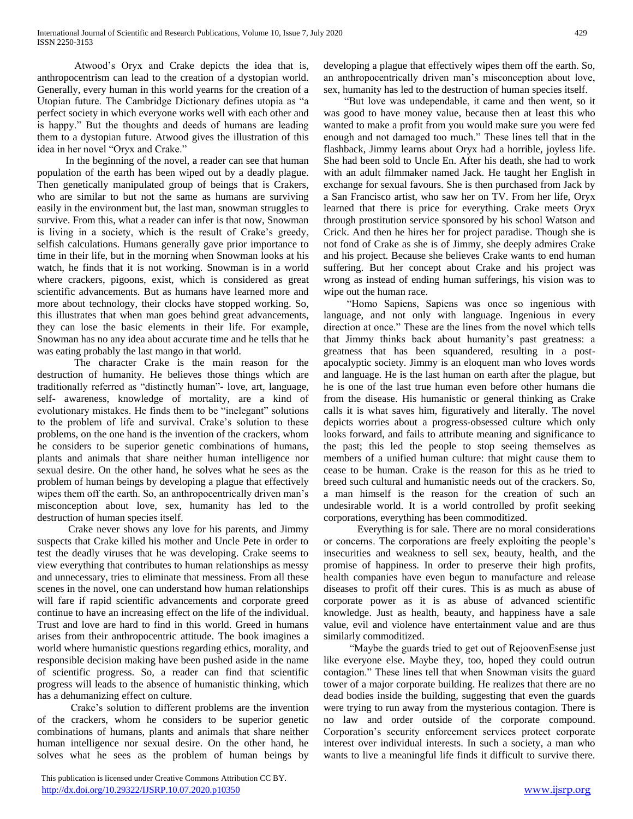Atwood's Oryx and Crake depicts the idea that is, anthropocentrism can lead to the creation of a dystopian world. Generally, every human in this world yearns for the creation of a Utopian future. The Cambridge Dictionary defines utopia as "a perfect society in which everyone works well with each other and is happy." But the thoughts and deeds of humans are leading them to a dystopian future. Atwood gives the illustration of this idea in her novel "Oryx and Crake."

 In the beginning of the novel, a reader can see that human population of the earth has been wiped out by a deadly plague. Then genetically manipulated group of beings that is Crakers, who are similar to but not the same as humans are surviving easily in the environment but, the last man, snowman struggles to survive. From this, what a reader can infer is that now, Snowman is living in a society, which is the result of Crake's greedy, selfish calculations. Humans generally gave prior importance to time in their life, but in the morning when Snowman looks at his watch, he finds that it is not working. Snowman is in a world where crackers, pigoons, exist, which is considered as great scientific advancements. But as humans have learned more and more about technology, their clocks have stopped working. So, this illustrates that when man goes behind great advancements, they can lose the basic elements in their life. For example, Snowman has no any idea about accurate time and he tells that he was eating probably the last mango in that world.

The character Crake is the main reason for the destruction of humanity. He believes those things which are traditionally referred as "distinctly human"- love, art, language, self- awareness, knowledge of mortality, are a kind of evolutionary mistakes. He finds them to be "inelegant" solutions to the problem of life and survival. Crake's solution to these problems, on the one hand is the invention of the crackers, whom he considers to be superior genetic combinations of humans, plants and animals that share neither human intelligence nor sexual desire. On the other hand, he solves what he sees as the problem of human beings by developing a plague that effectively wipes them off the earth. So, an anthropocentrically driven man's misconception about love, sex, humanity has led to the destruction of human species itself.

 Crake never shows any love for his parents, and Jimmy suspects that Crake killed his mother and Uncle Pete in order to test the deadly viruses that he was developing. Crake seems to view everything that contributes to human relationships as messy and unnecessary, tries to eliminate that messiness. From all these scenes in the novel, one can understand how human relationships will fare if rapid scientific advancements and corporate greed continue to have an increasing effect on the life of the individual. Trust and love are hard to find in this world. Greed in humans arises from their anthropocentric attitude. The book imagines a world where humanistic questions regarding ethics, morality, and responsible decision making have been pushed aside in the name of scientific progress. So, a reader can find that scientific progress will leads to the absence of humanistic thinking, which has a dehumanizing effect on culture.

 Crake's solution to different problems are the invention of the crackers, whom he considers to be superior genetic combinations of humans, plants and animals that share neither human intelligence nor sexual desire. On the other hand, he solves what he sees as the problem of human beings by developing a plague that effectively wipes them off the earth. So, an anthropocentrically driven man's misconception about love, sex, humanity has led to the destruction of human species itself.

 "But love was undependable, it came and then went, so it was good to have money value, because then at least this who wanted to make a profit from you would make sure you were fed enough and not damaged too much." These lines tell that in the flashback, Jimmy learns about Oryx had a horrible, joyless life. She had been sold to Uncle En. After his death, she had to work with an adult filmmaker named Jack. He taught her English in exchange for sexual favours. She is then purchased from Jack by a San Francisco artist, who saw her on TV. From her life, Oryx learned that there is price for everything. Crake meets Oryx through prostitution service sponsored by his school Watson and Crick. And then he hires her for project paradise. Though she is not fond of Crake as she is of Jimmy, she deeply admires Crake and his project. Because she believes Crake wants to end human suffering. But her concept about Crake and his project was wrong as instead of ending human sufferings, his vision was to wipe out the human race.

 "Homo Sapiens, Sapiens was once so ingenious with language, and not only with language. Ingenious in every direction at once." These are the lines from the novel which tells that Jimmy thinks back about humanity's past greatness: a greatness that has been squandered, resulting in a postapocalyptic society. Jimmy is an eloquent man who loves words and language. He is the last human on earth after the plague, but he is one of the last true human even before other humans die from the disease. His humanistic or general thinking as Crake calls it is what saves him, figuratively and literally. The novel depicts worries about a progress-obsessed culture which only looks forward, and fails to attribute meaning and significance to the past; this led the people to stop seeing themselves as members of a unified human culture: that might cause them to cease to be human. Crake is the reason for this as he tried to breed such cultural and humanistic needs out of the crackers. So, a man himself is the reason for the creation of such an undesirable world. It is a world controlled by profit seeking corporations, everything has been commoditized.

 Everything is for sale. There are no moral considerations or concerns. The corporations are freely exploiting the people's insecurities and weakness to sell sex, beauty, health, and the promise of happiness. In order to preserve their high profits, health companies have even begun to manufacture and release diseases to profit off their cures. This is as much as abuse of corporate power as it is as abuse of advanced scientific knowledge. Just as health, beauty, and happiness have a sale value, evil and violence have entertainment value and are thus similarly commoditized.

 "Maybe the guards tried to get out of RejoovenEsense just like everyone else. Maybe they, too, hoped they could outrun contagion." These lines tell that when Snowman visits the guard tower of a major corporate building. He realizes that there are no dead bodies inside the building, suggesting that even the guards were trying to run away from the mysterious contagion. There is no law and order outside of the corporate compound. Corporation's security enforcement services protect corporate interest over individual interests. In such a society, a man who wants to live a meaningful life finds it difficult to survive there.